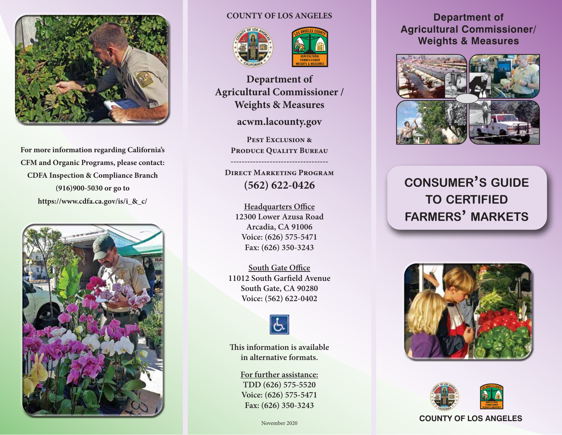

**For more information regarding California's CFM and Organic Programs, please contact: CDFA Inspection & Compliance Branch (916)900-5030 or go to https://www.cdfa.ca.gov/is/i\_&\_c/**



### **COUNTY OF LOS ANGELES**





**Department of Agricultural Commissioner / Weights & Measures**

**acwm.lacounty.gov**

**Pest Exclusion & Produce Quality Bureau**

**-----------------------------------**

**Direct Marketing Program (562) 622-0426**

**Headquarters Office 12300 Lower Azusa Road Arcadia, CA 91006 Voice: (626) 575-5471 Fax: (626) 350-3243**

**South Gate Office 11012 South Garfield Avenue South Gate, CA 90280 Voice: (562) 622-0402**



**This information is available in alternative formats.**

> **For further assistance: TDD (626) 575-5520 Voice: (626) 575-5471 Fax: (626) 350-3243**

### **Department of Agricultural Commissioner/ Weights & Measures**



# **consumer's guide to certified farmers' markets**





#### **COUNTY OF LOS ANGELES**

November 2020